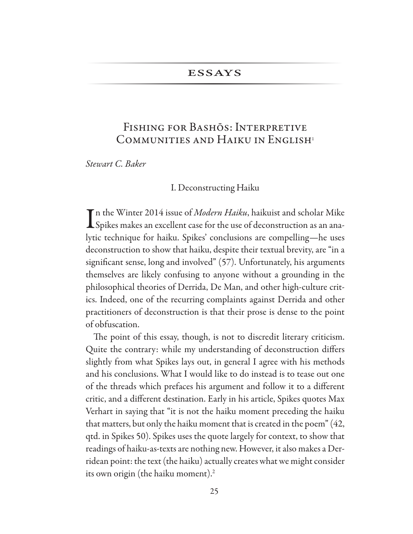# **ESSAYS**

# FISHING FOR BASHOS: INTERPRETIVE COMMUNITIES AND HAIKU IN ENGLISH<sup>1</sup>

Stewart C. Baker

#### I. Deconstructing Haiku

In the Winter 2014 issue of *Modern Haiku*, haikuist and scholar Mike Spikes makes an excellent case for the use of deconstruction as an analytic technique for haiku. Spikes' conclusions are compelling—he uses deconstruction to show that haiku, despite their textual brevity, are "in a significant sense, long and involved" (57). Unfortunately, his arguments themselves are likely confusing to anyone without a grounding in the philosophical theories of Derrida, De Man, and other high-culture critics. Indeed, one of the recurring complaints against Derrida and other practitioners of deconstruction is that their prose is dense to the point of obfuscation.

The point of this essay, though, is not to discredit literary criticism. Quite the contrary: while my understanding of deconstruction differs slightly from what Spikes lays out, in general I agree with his methods and his conclusions. What I would like to do instead is to tease out one of the threads which prefaces his argument and follow it to a different critic, and a different destination. Early in his article, Spikes quotes Max Verhart in saying that "it is not the haiku moment preceding the haiku that matters, but only the haiku moment that is created in the poem" (42, qtd. in Spikes 50). Spikes uses the quote largely for context, to show that readings of haiku-as-texts are nothing new. However, it also makes a Derridean point: the text (the haiku) actually creates what we might consider its own origin (the haiku moment).<sup>2</sup>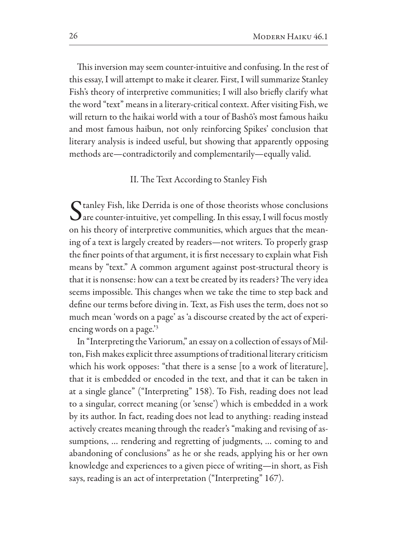This inversion may seem counter-intuitive and confusing. In the rest of this essay, I will attempt to make it clearer. First, I will summarize Stanley Fish's theory of interpretive communities; I will also briefly clarify what the word "text" means in a literary-critical context. After visiting Fish, we will return to the haikai world with a tour of Bashō's most famous haiku and most famous haibun, not only reinforcing Spikes' conclusion that literary analysis is indeed useful, but showing that apparently opposing methods are—contradictorily and complementarily—equally valid.

## II. The Text According to Stanley Fish

C tanley Fish, like Derrida is one of those theorists whose conclusions  $\boldsymbol{\bigcup}$  are counter-intuitive, yet compelling. In this essay, I will focus mostly on his theory of interpretive communities, which argues that the meaning of a text is largely created by readers-not writers. To properly grasp the finer points of that argument, it is first necessary to explain what Fish means by "text." A common argument against post-structural theory is that it is nonsense: how can a text be created by its readers? The very idea seems impossible. This changes when we take the time to step back and define our terms before diving in. Text, as Fish uses the term, does not so much mean 'words on a page' as 'a discourse created by the act of experiencing words on a page.<sup>3</sup>

In "Interpreting the Variorum," an essay on a collection of essays of Milton, Fish makes explicit three assumptions of traditional literary criticism which his work opposes: "that there is a sense [to a work of literature], that it is embedded or encoded in the text, and that it can be taken in at a single glance" ("Interpreting" 158). To Fish, reading does not lead to a singular, correct meaning (or 'sense') which is embedded in a work by its author. In fact, reading does not lead to anything: reading instead actively creates meaning through the reader's "making and revising of assumptions, ... rendering and regretting of judgments, ... coming to and abandoning of conclusions" as he or she reads, applying his or her own knowledge and experiences to a given piece of writing-in short, as Fish says, reading is an act of interpretation ("Interpreting" 167).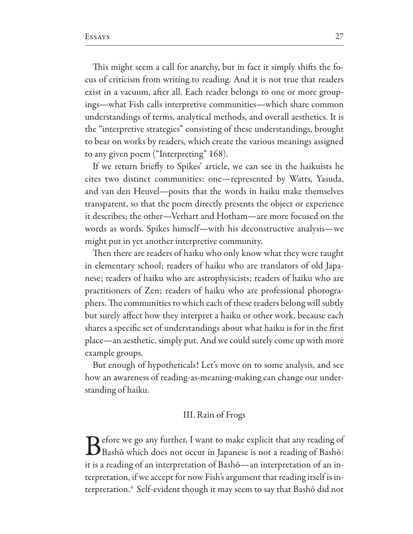This might seem a call for anarchy, but in fact it simply shifts the focus of criticism from writing to reading. And it is not true that readers exist in a vacuum, after all. Each reader belongs to one or more groupings—what Fish calls interpretive communities—which share common understandings of terms, analytical methods, and overall aesthetics. It is the "interpretive strategies" consisting of these understandings, brought to bear on works by readers, which create the various meanings assigned to any given poem ("Interpreting" 168).

If we return briefly to Spikes' article, we can see in the haikuists he cites two distinct communities: one-represented by Watts, Yasuda, and van den Heuvel-posits that the words in haiku make themselves transparent, so that the poem directly presents the object or experience it describes; the other—Verhart and Hotham—are more focused on the words as words. Spikes himself-with his deconstructive analysis-we might put in yet another interpretive community.

Then there are readers of haiku who only know what they were taught in elementary school; readers of haiku who are translators of old Japanese; readers of haiku who are astrophysicists; readers of haiku who are practitioners of Zen; readers of haiku who are professional photographers. The communities to which each of these readers belong will subtly but surely affect how they interpret a haiku or other work, because each shares a specific set of understandings about what haiku is for in the first place—an aesthetic, simply put. And we could surely come up with more example groups.

But enough of hypotheticals! Let's move on to some analysis, and see how an awareness of reading-as-meaning-making can change our understanding of haiku.

# III. Rain of Frogs

 $\bigcap$  efore we go any further, I want to make explicit that any reading of  $\bigcup$  Bashō which does not occur in Japanese is not a reading of Bashō: it is a reading of an interpretation of Bashō-an interpretation of an interpretation, if we accept for now Fish's argument that reading itself is interpretation.<sup>4</sup> Self-evident though it may seem to say that Bashō did not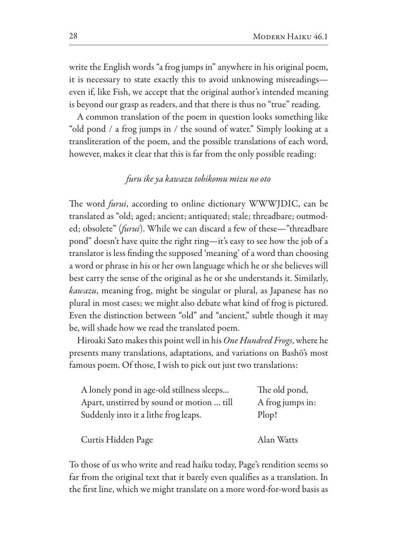write the English words "a frog jumps in" anywhere in his original poem, it is necessary to state exactly this to avoid unknowing misreadingseven if, like Fish, we accept that the original author's intended meaning is beyond our grasp as readers, and that there is thus no "true" reading.

A common translation of the poem in question looks something like "old pond / a frog jumps in / the sound of water." Simply looking at a transliteration of the poem, and the possible translations of each word, however, makes it clear that this is far from the only possible reading:

# furu ike ya kawazu tobikomu mizu no oto

The word *furui*, according to online dictionary WWWJDIC, can be translated as "old; aged; ancient; antiquated; stale; threadbare; outmoded; obsolete" (furui). While we can discard a few of these—"threadbare pond" doesn't have quite the right ring—it's easy to see how the job of a translator is less finding the supposed 'meaning' of a word than choosing a word or phrase in his or her own language which he or she believes will best carry the sense of the original as he or she understands it. Similarly, kawazu, meaning frog, might be singular or plural, as Japanese has no plural in most cases; we might also debate what kind of frog is pictured. Even the distinction between "old" and "ancient," subtle though it may be, will shade how we read the translated poem.

Hiroaki Sato makes this point well in his One Hundred Frogs, where he presents many translations, adaptations, and variations on Bashō's most famous poem. Of those, I wish to pick out just two translations:

| A lonely pond in age-old stillness sleeps | The old pond,    |
|-------------------------------------------|------------------|
| Apart, unstirred by sound or motion  till | A frog jumps in: |
| Suddenly into it a lithe frog leaps.      | Plop!            |
|                                           |                  |
| Curtis Hidden Page                        | Alan Watts       |

To those of us who write and read haiku today, Page's rendition seems so far from the original text that it barely even qualifies as a translation. In the first line, which we might translate on a more word-for-word basis as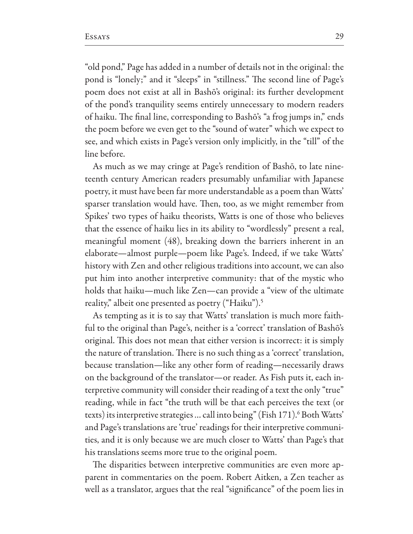"old pond," Page has added in a number of details not in the original: the pond is "lonely;" and it "sleeps" in "stillness." The second line of Page's poem does not exist at all in Bashō's original: its further development of the pond's tranquility seems entirely unnecessary to modern readers of haiku. The final line, corresponding to Bashō's "a frog jumps in," ends the poem before we even get to the "sound of water" which we expect to see, and which exists in Page's version only implicitly, in the "till" of the line before.

As much as we may cringe at Page's rendition of Bashō, to late nineteenth century American readers presumably unfamiliar with Japanese poetry, it must have been far more understandable as a poem than Watts' sparser translation would have. Then, too, as we might remember from Spikes' two types of haiku theorists, Watts is one of those who believes that the essence of haiku lies in its ability to "wordlessly" present a real, meaningful moment (48), breaking down the barriers inherent in an elaborate—almost purple—poem like Page's. Indeed, if we take Watts' history with Zen and other religious traditions into account, we can also put him into another interpretive community: that of the mystic who holds that haiku—much like Zen—can provide a "view of the ultimate reality," albeit one presented as poetry ("Haiku").<sup>5</sup>

As tempting as it is to say that Watts' translation is much more faithful to the original than Page's, neither is a 'correct' translation of Bashō's original. This does not mean that either version is incorrect: it is simply the nature of translation. There is no such thing as a 'correct' translation, because translation—like any other form of reading—necessarily draws on the background of the translator-or reader. As Fish puts it, each interpretive community will consider their reading of a text the only "true" reading, while in fact "the truth will be that each perceives the text (or texts) its interpretive strategies ... call into being" (Fish 171).<sup>6</sup> Both Watts' and Page's translations are 'true' readings for their interpretive communities, and it is only because we are much closer to Watts' than Page's that his translations seems more true to the original poem.

The disparities between interpretive communities are even more apparent in commentaries on the poem. Robert Aitken, a Zen teacher as well as a translator, argues that the real "significance" of the poem lies in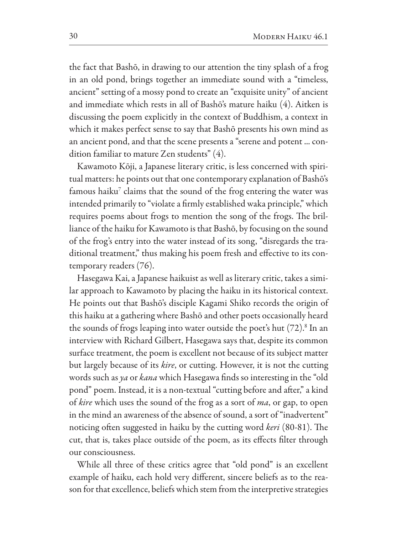the fact that Bashō, in drawing to our attention the tiny splash of a frog in an old pond, brings together an immediate sound with a "timeless, ancient" setting of a mossy pond to create an "exquisite unity" of ancient and immediate which rests in all of Bashō's mature haiku (4). Aitken is discussing the poem explicitly in the context of Buddhism, a context in which it makes perfect sense to say that Bashō presents his own mind as an ancient pond, and that the scene presents a "serene and potent ... condition familiar to mature Zen students" (4).

Kawamoto Kōji, a Japanese literary critic, is less concerned with spiritual matters: he points out that one contemporary explanation of Bashō's famous haiku<sup>7</sup> claims that the sound of the frog entering the water was intended primarily to "violate a firmly established waka principle," which requires poems about frogs to mention the song of the frogs. The brilliance of the haiku for Kawamoto is that Bashō, by focusing on the sound of the frog's entry into the water instead of its song, "disregards the traditional treatment," thus making his poem fresh and effective to its contemporary readers (76).

Hasegawa Kai, a Japanese haikuist as well as literary critic, takes a similar approach to Kawamoto by placing the haiku in its historical context. He points out that Bashō's disciple Kagami Shiko records the origin of this haiku at a gathering where Bashō and other poets occasionally heard the sounds of frogs leaping into water outside the poet's hut  $(72)^8$  In an interview with Richard Gilbert, Hasegawa says that, despite its common surface treatment, the poem is excellent not because of its subject matter but largely because of its *kire*, or cutting. However, it is not the cutting words such as ya or kana which Hasegawa finds so interesting in the "old" pond" poem. Instead, it is a non-textual "cutting before and after," a kind of kire which uses the sound of the frog as a sort of ma, or gap, to open in the mind an awareness of the absence of sound, a sort of "inadvertent" noticing often suggested in haiku by the cutting word keri (80-81). The cut, that is, takes place outside of the poem, as its effects filter through our consciousness.

While all three of these critics agree that "old pond" is an excellent example of haiku, each hold very different, sincere beliefs as to the reason for that excellence, beliefs which stem from the interpretive strategies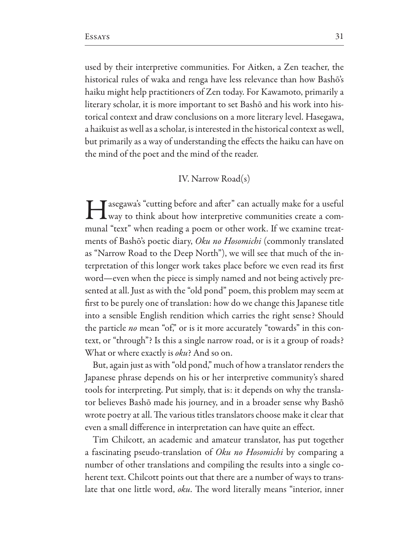used by their interpretive communities. For Aitken, a Zen teacher, the historical rules of waka and renga have less relevance than how Bashō's haiku might help practitioners of Zen today. For Kawamoto, primarily a literary scholar, it is more important to set Bashō and his work into historical context and draw conclusions on a more literary level. Hasegawa, a haikuist as well as a scholar, is interested in the historical context as well, but primarily as a way of understanding the effects the haiku can have on the mind of the poet and the mind of the reader.

### IV. Narrow Road(s)

Tasegawa's "cutting before and after" can actually make for a useful **L** way to think about how interpretive communities create a communal "text" when reading a poem or other work. If we examine treatments of Bashō's poetic diary, Oku no Hosomichi (commonly translated as "Narrow Road to the Deep North"), we will see that much of the interpretation of this longer work takes place before we even read its first word—even when the piece is simply named and not being actively presented at all. Just as with the "old pond" poem, this problem may seem at first to be purely one of translation: how do we change this Japanese title into a sensible English rendition which carries the right sense? Should the particle no mean "of," or is it more accurately "towards" in this context, or "through"? Is this a single narrow road, or is it a group of roads? What or where exactly is oku? And so on.

But, again just as with "old pond," much of how a translator renders the Japanese phrase depends on his or her interpretive community's shared tools for interpreting. Put simply, that is: it depends on why the translator believes Bashō made his journey, and in a broader sense why Bashō wrote poetry at all. The various titles translators choose make it clear that even a small difference in interpretation can have quite an effect.

Tim Chilcott, an academic and amateur translator, has put together a fascinating pseudo-translation of Oku no Hosomichi by comparing a number of other translations and compiling the results into a single coherent text. Chilcott points out that there are a number of ways to translate that one little word, oku. The word literally means "interior, inner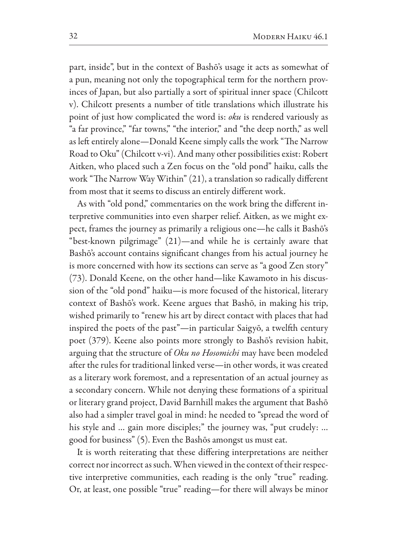part, inside", but in the context of Bashō's usage it acts as somewhat of a pun, meaning not only the topographical term for the northern provinces of Japan, but also partially a sort of spiritual inner space (Chilcott v). Chilcott presents a number of title translations which illustrate his point of just how complicated the word is: oku is rendered variously as "a far province," "far towns," "the interior," and "the deep north," as well as left entirely alone—Donald Keene simply calls the work "The Narrow Road to Oku" (Chilcott v-vi). And many other possibilities exist: Robert Aitken, who placed such a Zen focus on the "old pond" haiku, calls the work "The Narrow Way Within" (21), a translation so radically different from most that it seems to discuss an entirely different work.

As with "old pond," commentaries on the work bring the different interpretive communities into even sharper relief. Aitken, as we might expect, frames the journey as primarily a religious one—he calls it Bashō's "best-known pilgrimage" (21)—and while he is certainly aware that Bashō's account contains significant changes from his actual journey he is more concerned with how its sections can serve as "a good Zen story" (73). Donald Keene, on the other hand—like Kawamoto in his discussion of the "old pond" haiku-is more focused of the historical, literary context of Bashō's work. Keene argues that Bashō, in making his trip, wished primarily to "renew his art by direct contact with places that had inspired the poets of the past"-in particular Saigyō, a twelfth century poet (379). Keene also points more strongly to Bashō's revision habit, arguing that the structure of Oku no Hosomichi may have been modeled after the rules for traditional linked verse—in other words, it was created as a literary work foremost, and a representation of an actual journey as a secondary concern. While not denying these formations of a spiritual or literary grand project, David Barnhill makes the argument that Bashō also had a simpler travel goal in mind: he needed to "spread the word of his style and ... gain more disciples;" the journey was, "put crudely: ... good for business" (5). Even the Bashōs amongst us must eat.

It is worth reiterating that these differing interpretations are neither correct nor incorrect as such. When viewed in the context of their respective interpretive communities, each reading is the only "true" reading. Or, at least, one possible "true" reading—for there will always be minor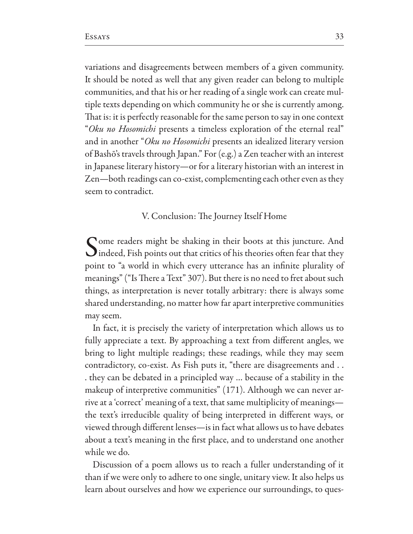variations and disagreements between members of a given community. It should be noted as well that any given reader can belong to multiple communities, and that his or her reading of a single work can create multiple texts depending on which community he or she is currently among. That is: it is perfectly reasonable for the same person to say in one context "Oku no Hosomichi presents a timeless exploration of the eternal real" and in another "Oku no Hosomichi presents an idealized literary version of Bashō's travels through Japan." For (e.g.) a Zen teacher with an interest in Japanese literary history—or for a literary historian with an interest in Zen-both readings can co-exist, complementing each other even as they seem to contradict.

### V. Conclusion: The Journey Itself Home

Come readers might be shaking in their boots at this juncture. And  $\bigcup$  indeed, Fish points out that critics of his theories often fear that they point to "a world in which every utterance has an infinite plurality of meanings" ("Is There a Text" 307). But there is no need to fret about such things, as interpretation is never totally arbitrary: there is always some shared understanding, no matter how far apart interpretive communities may seem.

In fact, it is precisely the variety of interpretation which allows us to fully appreciate a text. By approaching a text from different angles, we bring to light multiple readings; these readings, while they may seem contradictory, co-exist. As Fish puts it, "there are disagreements and .. they can be debated in a principled way ... because of a stability in the makeup of interpretive communities" (171). Although we can never arrive at a 'correct' meaning of a text, that same multiplicity of meaningsthe text's irreducible quality of being interpreted in different ways, or viewed through different lenses-is in fact what allows us to have debates about a text's meaning in the first place, and to understand one another while we do.

Discussion of a poem allows us to reach a fuller understanding of it than if we were only to adhere to one single, unitary view. It also helps us learn about ourselves and how we experience our surroundings, to ques-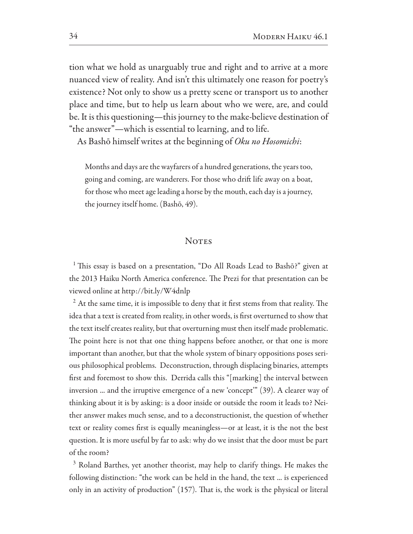tion what we hold as unarguably true and right and to arrive at a more nuanced view of reality. And isn't this ultimately one reason for poetry's existence? Not only to show us a pretty scene or transport us to another place and time, but to help us learn about who we were, are, and could be. It is this questioning—this journey to the make-believe destination of "the answer"—which is essential to learning, and to life.

As Bashō himself writes at the beginning of Oku no Hosomichi:

Months and days are the wayfarers of a hundred generations, the years too, going and coming, are wanderers. For those who drift life away on a boat, for those who meet age leading a horse by the mouth, each day is a journey, the journey itself home. (Bashō, 49).

## **NOTES**

<sup>1</sup> This essay is based on a presentation, "Do All Roads Lead to Bashō?" given at the 2013 Haiku North America conference. The Prezi for that presentation can be viewed online at http://bit.ly/W4dnlp

<sup>2</sup> At the same time, it is impossible to deny that it first stems from that reality. The idea that a text is created from reality, in other words, is first overturned to show that the text itself creates reality, but that overturning must then itself made problematic. The point here is not that one thing happens before another, or that one is more important than another, but that the whole system of binary oppositions poses serious philosophical problems. Deconstruction, through displacing binaries, attempts first and foremost to show this. Derrida calls this "[marking] the interval between inversion ... and the irruptive emergence of a new 'concept'" (39). A clearer way of thinking about it is by asking: is a door inside or outside the room it leads to? Neither answer makes much sense, and to a deconstructionist, the question of whether text or reality comes first is equally meaningless—or at least, it is the not the best question. It is more useful by far to ask: why do we insist that the door must be part of the room?

<sup>3</sup> Roland Barthes, yet another theorist, may help to clarify things. He makes the following distinction: "the work can be held in the hand, the text ... is experienced only in an activity of production" (157). That is, the work is the physical or literal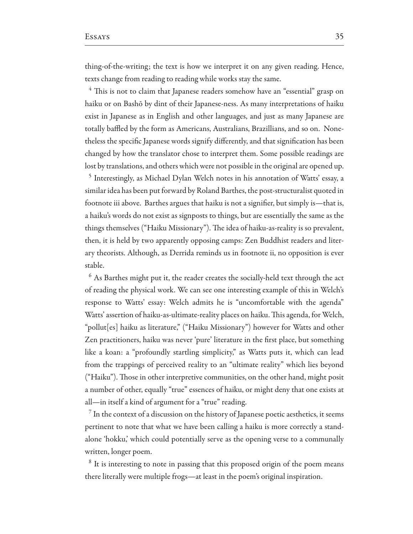thing-of-the-writing; the text is how we interpret it on any given reading. Hence, texts change from reading to reading while works stay the same.

<sup>4</sup> This is not to claim that Japanese readers somehow have an "essential" grasp on haiku or on Bashō by dint of their Japanese-ness. As many interpretations of haiku exist in Japanese as in English and other languages, and just as many Japanese are totally baffled by the form as Americans, Australians, Brazillians, and so on. Nonetheless the specific Japanese words signify differently, and that signification has been changed by how the translator chose to interpret them. Some possible readings are lost by translations, and others which were not possible in the original are opened up.

<sup>5</sup> Interestingly, as Michael Dylan Welch notes in his annotation of Watts' essay, a similar idea has been put forward by Roland Barthes, the post-structuralist quoted in footnote iii above. Barthes argues that haiku is not a signifier, but simply is—that is, a haiku's words do not exist as signposts to things, but are essentially the same as the things themselves ("Haiku Missionary"). The idea of haiku-as-reality is so prevalent, then, it is held by two apparently opposing camps: Zen Buddhist readers and literary theorists. Although, as Derrida reminds us in footnote ii, no opposition is ever stable.

 $6$  As Barthes might put it, the reader creates the socially-held text through the act of reading the physical work. We can see one interesting example of this in Welch's response to Watts' essay: Welch admits he is "uncomfortable with the agenda" Watts' assertion of haiku-as-ultimate-reality places on haiku. This agenda, for Welch, "pollut[es] haiku as literature," ("Haiku Missionary") however for Watts and other Zen practitioners, haiku was never 'pure' literature in the first place, but something like a koan: a "profoundly startling simplicity," as Watts puts it, which can lead from the trappings of perceived reality to an "ultimate reality" which lies beyond ("Haiku"). Those in other interpretive communities, on the other hand, might posit a number of other, equally "true" essences of haiku, or might deny that one exists at all-in itself a kind of argument for a "true" reading.

 $\frac{7}{7}$  In the context of a discussion on the history of Japanese poetic aesthetics, it seems pertinent to note that what we have been calling a haiku is more correctly a standalone 'hokku,' which could potentially serve as the opening verse to a communally written, longer poem.

<sup>8</sup> It is interesting to note in passing that this proposed origin of the poem means there literally were multiple frogs—at least in the poem's original inspiration.